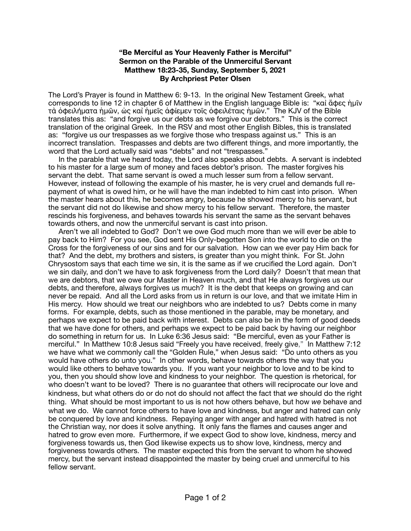## **"Be Merciful as Your Heavenly Father is Merciful" Sermon on the Parable of the Unmerciful Servant Matthew 18:23-35, Sunday, September 5, 2021 By Archpriest Peter Olsen**

The Lord's Prayer is found in Matthew 6: 9-13. In the original New Testament Greek, what corresponds to line 12 in chapter 6 of Matthew in the English language Bible is: "καὶ ἄφες ἡμῖν τὰ ὀφειλήματα ἡμῶν, ὡς καὶ ἡμεῖς ἀφίεμεν τοῖς ὀφειλέταις ἡμῶν." The KJV of the Bible translates this as: "and forgive us our debts as we forgive our debtors." This is the correct translation of the original Greek. In the RSV and most other English Bibles, this is translated as: "forgive us our trespasses as we forgive those who trespass against us." This is an incorrect translation. Trespasses and debts are two different things, and more importantly, the word that the Lord actually said was "debts" and not "trespasses."

 In the parable that we heard today, the Lord also speaks about debts. A servant is indebted to his master for a large sum of money and faces debtor's prison. The master forgives his servant the debt. That same servant is owed a much lesser sum from a fellow servant. However, instead of following the example of his master, he is very cruel and demands full repayment of what is owed him, or he will have the man indebted to him cast into prison. When the master hears about this, he becomes angry, because he showed mercy to his servant, but the servant did not do likewise and show mercy to his fellow servant. Therefore, the master rescinds his forgiveness, and behaves towards his servant the same as the servant behaves towards others, and now the unmerciful servant is cast into prison.

 Aren't we all indebted to God? Don't we owe God much more than we will ever be able to pay back to Him? For you see, God sent His Only-begotten Son into the world to die on the Cross for the forgiveness of our sins and for our salvation. How can we ever pay Him back for that? And the debt, my brothers and sisters, is greater than you might think. For St. John Chrysostom says that each time we sin, it is the same as if we crucified the Lord again. Don't we sin daily, and don't we have to ask forgiveness from the Lord daily? Doesn't that mean that we are debtors, that we owe our Master in Heaven much, and that He always forgives us our debts, and therefore, always forgives us much? It is the debt that keeps on growing and can never be repaid. And all the Lord asks from us in return is our love, and that we imitate Him in His mercy. How should we treat our neighbors who are indebted to us? Debts come in many forms. For example, debts, such as those mentioned in the parable, may be monetary, and perhaps we expect to be paid back with interest. Debts can also be in the form of good deeds that we have done for others, and perhaps we expect to be paid back by having our neighbor do something in return for us. In Luke 6:36 Jesus said: "Be merciful, even as your Father is merciful." In Matthew 10:8 Jesus said "Freely you have received, freely give," In Matthew 7:12 we have what we commonly call the "Golden Rule," when Jesus said: "Do unto others as you would have others do unto you." In other words, behave towards others the way that you would like others to behave towards you. If you want your neighbor to love and to be kind to you, then you should show love and kindness to your neighbor. The question is rhetorical, for who doesn't want to be loved? There is no guarantee that others will reciprocate our love and kindness, but what others do or do not do should not affect the fact that *we* should do the right thing. What should be most important to us is not how others behave, but how *we* behave and what *we* do. We cannot force others to have love and kindness, but anger and hatred can only be conquered by love and kindness. Repaying anger with anger and hatred with hatred is not the Christian way, nor does it solve anything. It only fans the flames and causes anger and hatred to grow even more. Furthermore, if we expect God to show love, kindness, mercy and forgiveness towards us, then God likewise expects us to show love, kindness, mercy and forgiveness towards others. The master expected this from the servant to whom he showed mercy, but the servant instead disappointed the master by being cruel and unmerciful to his fellow servant.